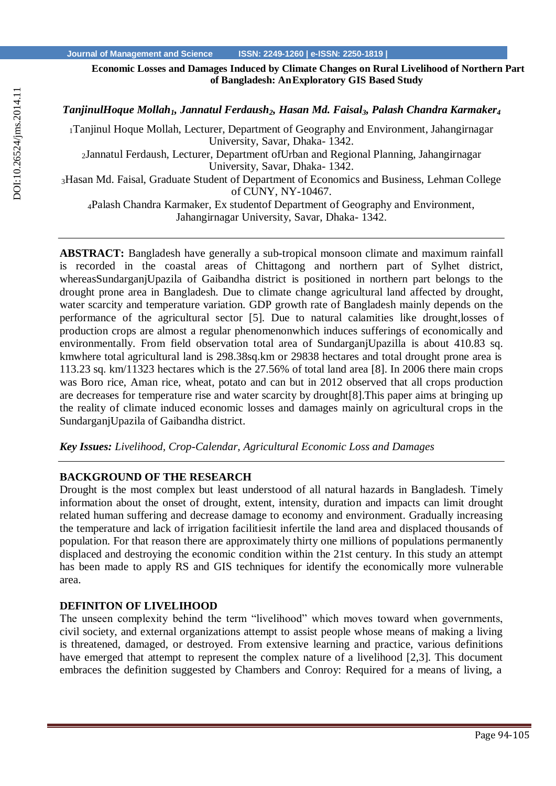**Economic Losses and Damages Induced by Climate Changes on Rural Livelihood of Northern Part of Bangladesh: AnExploratory GIS Based Study**

*TanjinulHoque Mollah1, Jannatul Ferdaush2, Hasan Md. Faisal3, Palash Chandra Karmaker<sup>4</sup>*

<sup>1</sup>Tanjinul Hoque Mollah, Lecturer, Department of Geography and Environment, Jahangirnagar University, Savar, Dhaka- 1342.

<sup>2</sup>Jannatul Ferdaush, Lecturer, Department ofUrban and Regional Planning, Jahangirnagar University, Savar, Dhaka- 1342.

<sup>3</sup>Hasan Md. Faisal, Graduate Student of Department of Economics and Business, Lehman College of CUNY, NY-10467.

<sup>4</sup>Palash Chandra Karmaker, Ex studentof Department of Geography and Environment, Jahangirnagar University, Savar, Dhaka- 1342.

**ABSTRACT:** Bangladesh have generally a sub-tropical monsoon climate and maximum rainfall is recorded in the coastal areas of Chittagong and northern part of Sylhet district, whereasSundarganjUpazila of Gaibandha district is positioned in northern part belongs to the drought prone area in Bangladesh. Due to climate change agricultural land affected by drought, water scarcity and temperature variation. GDP growth rate of Bangladesh mainly depends on the performance of the agricultural sector [5]. Due to natural calamities like drought,losses of production crops are almost a regular phenomenonwhich induces sufferings of economically and environmentally. From field observation total area of SundarganjUpazilla is about 410.83 sq. kmwhere total agricultural land is 298.38sq.km or 29838 hectares and total drought prone area is 113.23 sq. km/11323 hectares which is the 27.56% of total land area [8]. In 2006 there main crops was Boro rice, Aman rice, wheat, potato and can but in 2012 observed that all crops production are decreases for temperature rise and water scarcity by drought[8].This paper aims at bringing up the reality of climate induced economic losses and damages mainly on agricultural crops in the SundarganjUpazila of Gaibandha district.

*Key Issues: Livelihood, Crop-Calendar, Agricultural Economic Loss and Damages*

# **BACKGROUND OF THE RESEARCH**

Drought is the most complex but least understood of all natural hazards in Bangladesh. Timely information about the onset of drought, extent, intensity, duration and impacts can limit drought related human suffering and decrease damage to economy and environment. Gradually increasing the temperature and lack of irrigation facilitiesit infertile the land area and displaced thousands of population. For that reason there are approximately thirty one millions of populations permanently displaced and destroying the economic condition within the 21st century. In this study an attempt has been made to apply RS and GIS techniques for identify the economically more vulnerable area.

## **DEFINITON OF LIVELIHOOD**

The unseen complexity behind the term "livelihood" which moves toward when governments, civil society, and external organizations attempt to assist people whose means of making a living is threatened, damaged, or destroyed. From extensive learning and practice, various definitions have emerged that attempt to represent the complex nature of a livelihood [2,3]. This document embraces the definition suggested by Chambers and Conroy: Required for a means of living, a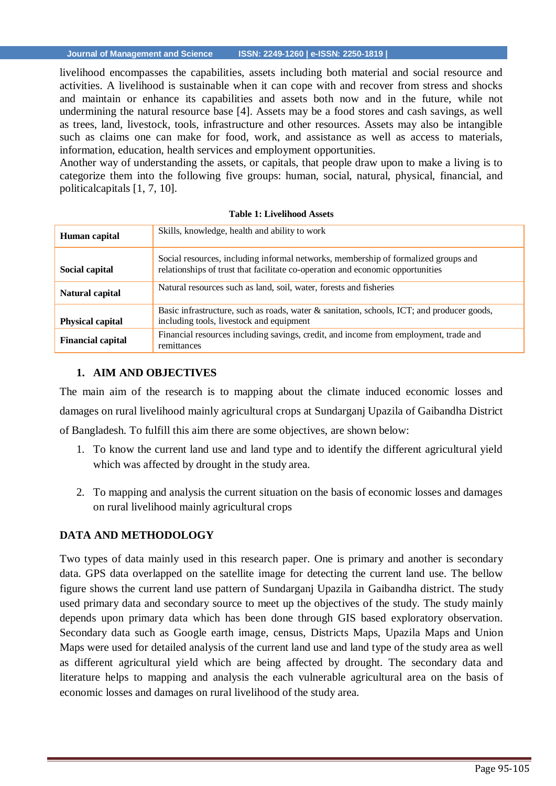livelihood encompasses the capabilities, assets including both material and social resource and activities. A livelihood is sustainable when it can cope with and recover from stress and shocks and maintain or enhance its capabilities and assets both now and in the future, while not undermining the natural resource base [4]. Assets may be a food stores and cash savings, as well as trees, land, livestock, tools, infrastructure and other resources. Assets may also be intangible such as claims one can make for food, work, and assistance as well as access to materials, information, education, health services and employment opportunities.

Another way of understanding the assets, or capitals, that people draw upon to make a living is to categorize them into the following five groups: human, social, natural, physical, financial, and politicalcapitals [1, 7, 10].

| Human capital            | Skills, knowledge, health and ability to work                                                                                                                        |
|--------------------------|----------------------------------------------------------------------------------------------------------------------------------------------------------------------|
| Social capital           | Social resources, including informal networks, membership of formalized groups and<br>relationships of trust that facilitate co-operation and economic opportunities |
| Natural capital          | Natural resources such as land, soil, water, forests and fisheries                                                                                                   |
| <b>Physical capital</b>  | Basic infrastructure, such as roads, water & sanitation, schools, ICT; and producer goods,<br>including tools, livestock and equipment                               |
| <b>Financial capital</b> | Financial resources including savings, credit, and income from employment, trade and<br>remittances                                                                  |

#### **Table 1: Livelihood Assets**

## **1. AIM AND OBJECTIVES**

The main aim of the research is to mapping about the climate induced economic losses and damages on rural livelihood mainly agricultural crops at Sundarganj Upazila of Gaibandha District of Bangladesh. To fulfill this aim there are some objectives, are shown below:

- 1. To know the current land use and land type and to identify the different agricultural yield which was affected by drought in the study area.
- 2. To mapping and analysis the current situation on the basis of economic losses and damages on rural livelihood mainly agricultural crops

# **DATA AND METHODOLOGY**

Two types of data mainly used in this research paper. One is primary and another is secondary data. GPS data overlapped on the satellite image for detecting the current land use. The bellow figure shows the current land use pattern of Sundarganj Upazila in Gaibandha district. The study used primary data and secondary source to meet up the objectives of the study. The study mainly depends upon primary data which has been done through GIS based exploratory observation. Secondary data such as Google earth image, census, Districts Maps, Upazila Maps and Union Maps were used for detailed analysis of the current land use and land type of the study area as well as different agricultural yield which are being affected by drought. The secondary data and literature helps to mapping and analysis the each vulnerable agricultural area on the basis of economic losses and damages on rural livelihood of the study area.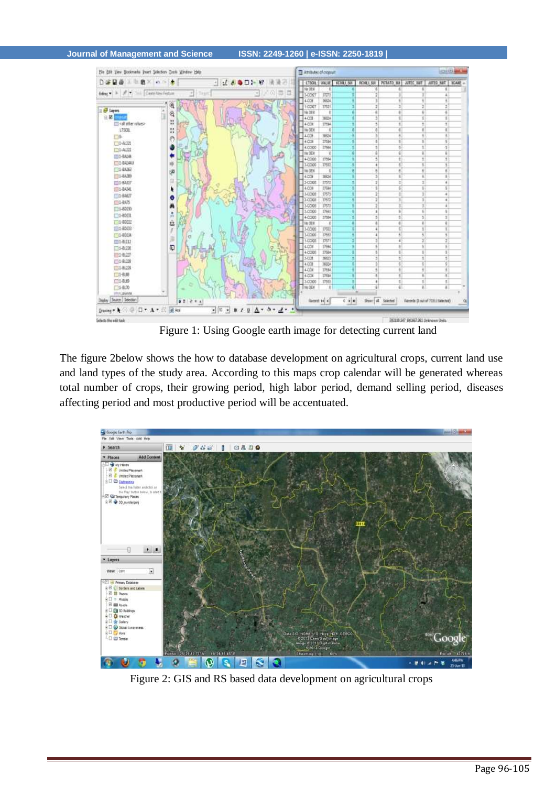#### **Journal of Management and Science ISSN: 2249-1260 | e-ISSN: 2250-1819 |**



Figure 1: Using Google earth image for detecting current land

The figure 2below shows the how to database development on agricultural crops, current land use and land types of the study area. According to this maps crop calendar will be generated whereas total number of crops, their growing period, high labor period, demand selling period, diseases affecting period and most productive period will be accentuated.



Figure 2: GIS and RS based data development on agricultural crops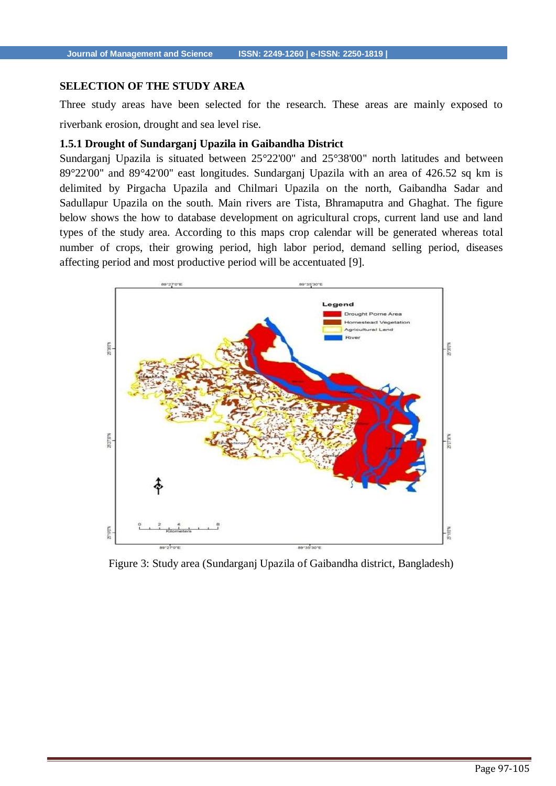## **SELECTION OF THE STUDY AREA**

Three study areas have been selected for the research. These areas are mainly exposed to riverbank erosion, drought and sea level rise.

## **1.5.1 Drought of Sundarganj Upazila in Gaibandha District**

Sundarganj Upazila is situated between 25°22'00'' and 25°38'00'' north latitudes and between 89°22'00'' and 89°42'00'' east longitudes. Sundarganj Upazila with an area of 426.52 sq km is delimited by Pirgacha Upazila and Chilmari Upazila on the north, Gaibandha Sadar and Sadullapur Upazila on the south. Main rivers are Tista, Bhramaputra and Ghaghat. The figure below shows the how to database development on agricultural crops, current land use and land types of the study area. According to this maps crop calendar will be generated whereas total number of crops, their growing period, high labor period, demand selling period, diseases affecting period and most productive period will be accentuated [9].



Figure 3: Study area (Sundarganj Upazila of Gaibandha district, Bangladesh)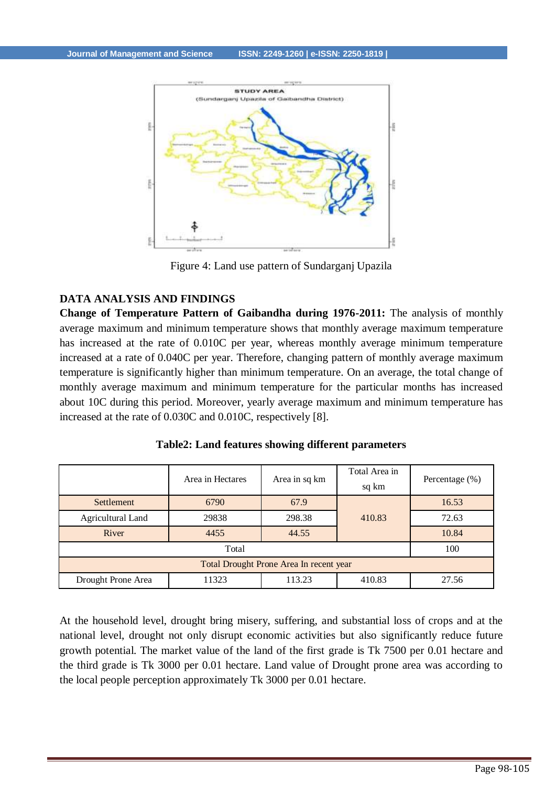

Figure 4: Land use pattern of Sundarganj Upazila

## **DATA ANALYSIS AND FINDINGS**

**Change of Temperature Pattern of Gaibandha during 1976-2011:** The analysis of monthly average maximum and minimum temperature shows that monthly average maximum temperature has increased at the rate of 0.010C per year, whereas monthly average minimum temperature increased at a rate of 0.040C per year. Therefore, changing pattern of monthly average maximum temperature is significantly higher than minimum temperature. On an average, the total change of monthly average maximum and minimum temperature for the particular months has increased about 10C during this period. Moreover, yearly average maximum and minimum temperature has increased at the rate of 0.030C and 0.010C, respectively [8].

|                                         | Area in Hectares | Area in sq km | Total Area in<br>sq km | Percentage (%) |  |  |  |  |  |
|-----------------------------------------|------------------|---------------|------------------------|----------------|--|--|--|--|--|
| Settlement                              | 6790             | 67.9          |                        | 16.53          |  |  |  |  |  |
| Agricultural Land                       | 29838            | 298.38        | 410.83                 | 72.63          |  |  |  |  |  |
| River                                   | 4455             | 44.55         |                        | 10.84          |  |  |  |  |  |
|                                         |                  | 100           |                        |                |  |  |  |  |  |
| Total Drought Prone Area In recent year |                  |               |                        |                |  |  |  |  |  |
| Drought Prone Area                      | 11323            | 113.23        | 410.83                 | 27.56          |  |  |  |  |  |

| Table2: Land features showing different parameters |  |  |  |  |
|----------------------------------------------------|--|--|--|--|
|----------------------------------------------------|--|--|--|--|

At the household level, drought bring misery, suffering, and substantial loss of crops and at the national level, drought not only disrupt economic activities but also significantly reduce future growth potential. The market value of the land of the first grade is Tk 7500 per 0.01 hectare and the third grade is Tk 3000 per 0.01 hectare. Land value of Drought prone area was according to the local people perception approximately Tk 3000 per 0.01 hectare.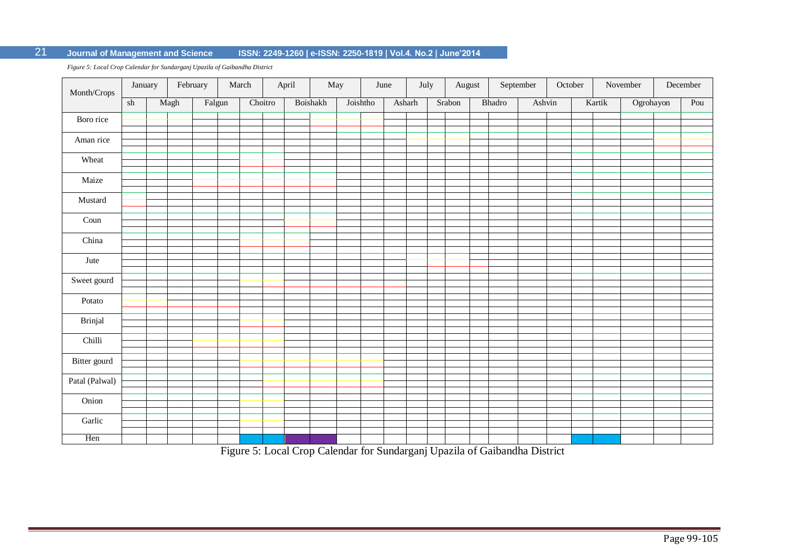# 21 **Journal of Management and Science ISSN: 2249-1260 | e-ISSN: 2250-1819 | Vol.4. No.2 | June'2014**

*Figure 5: Local Crop Calendar for Sundarganj Upazila of Gaibandha District*

| Month/Crops    | January |      | February | March   | April | May      | June     |        | July | August |        | ${\bf September}$ | October |        | November  | December |
|----------------|---------|------|----------|---------|-------|----------|----------|--------|------|--------|--------|-------------------|---------|--------|-----------|----------|
|                | sh      | Magh | Falgun   | Choitro |       | Boishakh | Joishtho | Asharh |      | Srabon | Bhadro | Ashvin            |         | Kartik | Ogrohayon | Pou      |
| Boro rice      |         |      |          |         |       |          |          |        |      |        |        |                   |         |        |           |          |
| Aman rice      |         |      |          |         |       |          |          |        |      |        |        |                   |         |        |           |          |
| Wheat          |         |      |          |         |       |          |          |        |      |        |        |                   |         |        |           |          |
| Maize          |         |      |          |         |       |          |          |        |      |        |        |                   |         |        |           |          |
| Mustard        |         |      |          |         |       |          |          |        |      |        |        |                   |         |        |           |          |
| Coun           |         |      |          |         |       |          |          |        |      |        |        |                   |         |        |           |          |
|                |         |      |          |         |       |          |          |        |      |        |        |                   |         |        |           |          |
| China          |         |      |          |         |       |          |          |        |      |        |        |                   |         |        |           |          |
| Jute           |         |      |          |         |       |          |          |        |      |        |        |                   |         |        |           |          |
| Sweet gourd    |         |      |          |         |       |          |          |        |      |        |        |                   |         |        |           |          |
| Potato         |         |      |          |         |       |          |          |        |      |        |        |                   |         |        |           |          |
| <b>Brinjal</b> |         |      |          |         |       |          |          |        |      |        |        |                   |         |        |           |          |
| Chilli         |         |      |          |         |       |          |          |        |      |        |        |                   |         |        |           |          |
| Bitter gourd   |         |      |          |         |       |          |          |        |      |        |        |                   |         |        |           |          |
| Patal (Palwal) |         |      |          |         |       |          |          |        |      |        |        |                   |         |        |           |          |
|                |         |      |          |         |       |          |          |        |      |        |        |                   |         |        |           |          |
| Onion          |         |      |          |         |       |          |          |        |      |        |        |                   |         |        |           |          |
| Garlic         |         |      |          |         |       |          |          |        |      |        |        |                   |         |        |           |          |
| Hen            |         |      |          |         |       |          |          |        |      |        |        |                   |         |        |           |          |

Figure 5: Local Crop Calendar for Sundarganj Upazila of Gaibandha District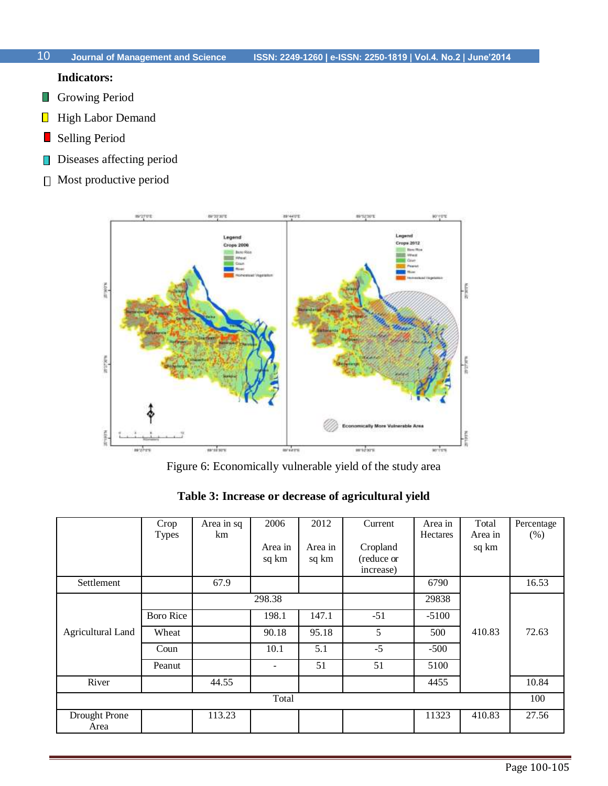# **Indicators:**

- **Growing Period**
- $\overline{\phantom{a}}$ High Labor Demand
- Selling Period  $\mathcal{L}_{\mathcal{A}}$
- Diseases affecting period  $\mathbb{R}^2$
- Most productive period



Figure 6: Economically vulnerable yield of the study area

|  |  |  | Table 3: Increase or decrease of agricultural yield |  |
|--|--|--|-----------------------------------------------------|--|
|--|--|--|-----------------------------------------------------|--|

|                          | Crop<br><b>Types</b> | Area in sq<br>km | 2006                     | 2012             | Current                             | Area in<br><b>Hectares</b> | Total<br>Area in | Percentage<br>(% ) |
|--------------------------|----------------------|------------------|--------------------------|------------------|-------------------------------------|----------------------------|------------------|--------------------|
|                          |                      |                  | Area in<br>sq km         | Area in<br>sq km | Cropland<br>(reduce or<br>increase) |                            | sq km            |                    |
| Settlement               |                      | 67.9             |                          |                  |                                     | 6790                       |                  | 16.53              |
|                          |                      |                  | 298.38                   |                  |                                     | 29838                      |                  |                    |
|                          | <b>Boro Rice</b>     |                  | 198.1                    | 147.1            | $-51$                               | $-5100$                    |                  |                    |
| <b>Agricultural Land</b> | Wheat                |                  | 90.18                    | 95.18            | 5                                   | 500                        | 410.83           | 72.63              |
|                          | Coun                 |                  | 10.1                     | 5.1              | $-5$                                | $-500$                     |                  |                    |
|                          | Peanut               |                  | $\overline{\phantom{0}}$ | 51               | 51                                  | 5100                       |                  |                    |
| River                    |                      | 44.55            |                          |                  |                                     | 4455                       |                  | 10.84              |
|                          |                      |                  | Total                    |                  |                                     |                            |                  | 100                |
| Drought Prone<br>Area    |                      | 113.23           |                          |                  |                                     | 11323                      | 410.83           | 27.56              |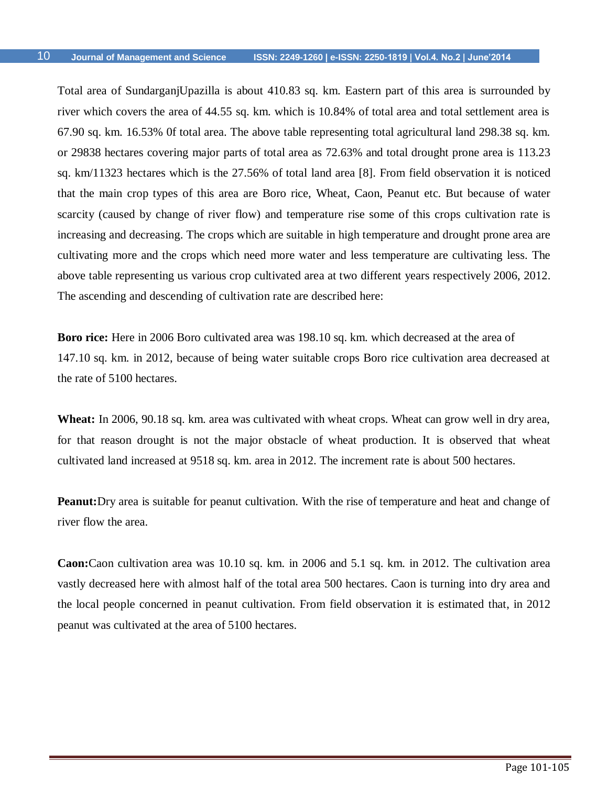Total area of SundarganjUpazilla is about 410.83 sq. km. Eastern part of this area is surrounded by river which covers the area of 44.55 sq. km. which is 10.84% of total area and total settlement area is 67.90 sq. km. 16.53% 0f total area. The above table representing total agricultural land 298.38 sq. km. or 29838 hectares covering major parts of total area as 72.63% and total drought prone area is 113.23 sq. km/11323 hectares which is the 27.56% of total land area [8]. From field observation it is noticed that the main crop types of this area are Boro rice, Wheat, Caon, Peanut etc. But because of water scarcity (caused by change of river flow) and temperature rise some of this crops cultivation rate is increasing and decreasing. The crops which are suitable in high temperature and drought prone area are cultivating more and the crops which need more water and less temperature are cultivating less. The above table representing us various crop cultivated area at two different years respectively 2006, 2012. The ascending and descending of cultivation rate are described here:

**Boro rice:** Here in 2006 Boro cultivated area was 198.10 sq. km. which decreased at the area of 147.10 sq. km. in 2012, because of being water suitable crops Boro rice cultivation area decreased at the rate of 5100 hectares.

**Wheat:** In 2006, 90.18 sq. km. area was cultivated with wheat crops. Wheat can grow well in dry area, for that reason drought is not the major obstacle of wheat production. It is observed that wheat cultivated land increased at 9518 sq. km. area in 2012. The increment rate is about 500 hectares.

**Peanut:**Dry area is suitable for peanut cultivation. With the rise of temperature and heat and change of river flow the area.

**Caon:**Caon cultivation area was 10.10 sq. km. in 2006 and 5.1 sq. km. in 2012. The cultivation area vastly decreased here with almost half of the total area 500 hectares. Caon is turning into dry area and the local people concerned in peanut cultivation. From field observation it is estimated that, in 2012 peanut was cultivated at the area of 5100 hectares.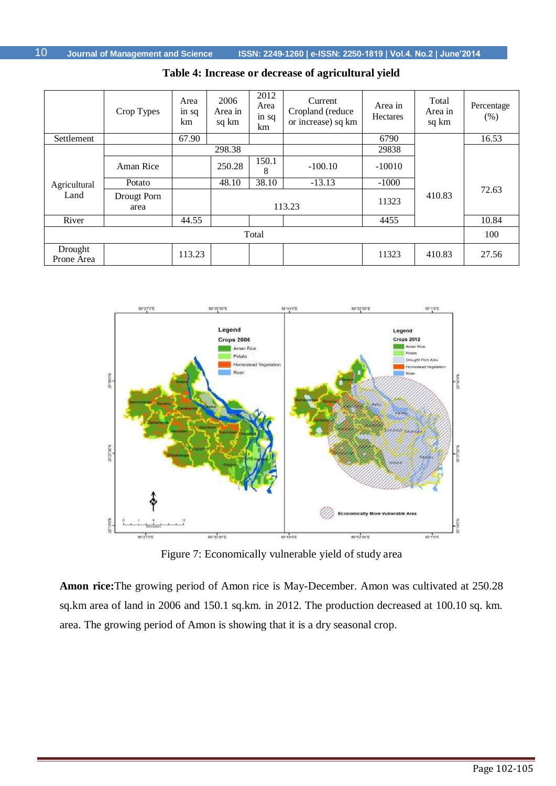|                       | Crop Types          | Area<br>in sq<br>km | 2006<br>Area in<br>sq km | 2012<br>Area<br>in sq<br>km | Current<br>Cropland (reduce<br>or increase) sq km | Area in<br>Hectares | Total<br>Area in<br>sq km | Percentage<br>(% ) |  |
|-----------------------|---------------------|---------------------|--------------------------|-----------------------------|---------------------------------------------------|---------------------|---------------------------|--------------------|--|
| Settlement            |                     | 67.90               |                          |                             |                                                   | 6790                |                           | 16.53              |  |
|                       |                     |                     | 298.38                   |                             |                                                   | 29838               |                           |                    |  |
|                       | Aman Rice           |                     | 250.28                   | 150.1<br>8                  | $-100.10$                                         | $-10010$            |                           |                    |  |
| Agricultural          | Potato              |                     | 48.10                    | 38.10                       | $-13.13$                                          | $-1000$             |                           |                    |  |
| Land                  | Drougt Porn<br>area |                     |                          |                             | 113.23                                            | 11323               | 410.83                    | 72.63              |  |
| River                 |                     | 44.55               |                          |                             |                                                   | 4455                |                           | 10.84              |  |
| Total                 |                     |                     |                          |                             |                                                   |                     |                           |                    |  |
| Drought<br>Prone Area |                     | 113.23              |                          |                             |                                                   | 11323               | 410.83                    | 27.56              |  |

**Table 4: Increase or decrease of agricultural yield**



Figure 7: Economically vulnerable yield of study area

**Amon rice:**The growing period of Amon rice is May-December. Amon was cultivated at 250.28 sq.km area of land in 2006 and 150.1 sq.km. in 2012. The production decreased at 100.10 sq. km. area. The growing period of Amon is showing that it is a dry seasonal crop.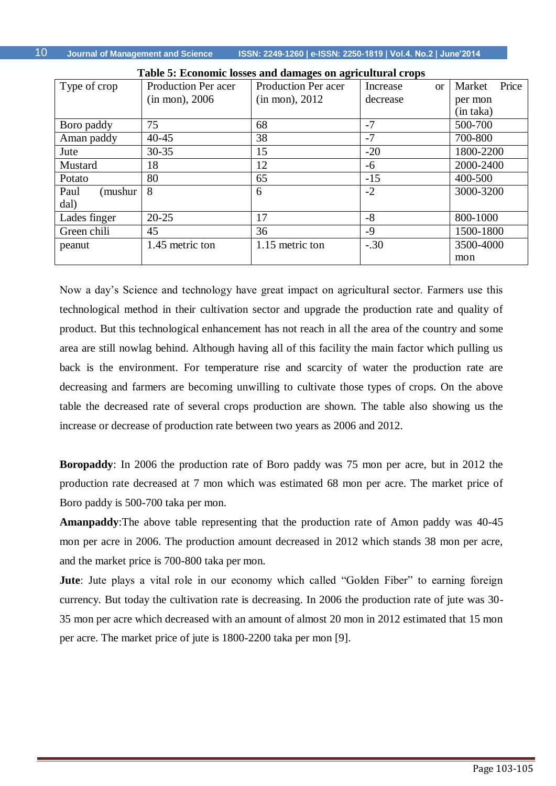**Journal of Management and Science ISSN: 2249-1260 | e-ISSN: 2250-1819 | Vol.4. No.2 | June'2014**

|                 | Table 9. Economic losses and damages on agricultural crops |                            |                       |                 |  |  |  |  |  |  |  |
|-----------------|------------------------------------------------------------|----------------------------|-----------------------|-----------------|--|--|--|--|--|--|--|
| Type of crop    | Production Per acer                                        | <b>Production Per acer</b> | Increase<br><b>or</b> | Price<br>Market |  |  |  |  |  |  |  |
|                 | $(in \, mon), 2006$                                        | (in mon), 2012             | decrease              | per mon         |  |  |  |  |  |  |  |
|                 |                                                            |                            |                       | (in taka)       |  |  |  |  |  |  |  |
| Boro paddy      | 75                                                         | 68                         | $-7$                  | 500-700         |  |  |  |  |  |  |  |
| Aman paddy      | $40 - 45$                                                  | 38                         | $-7$                  | 700-800         |  |  |  |  |  |  |  |
| Jute            | $30 - 35$                                                  | 15                         | $-20$                 | 1800-2200       |  |  |  |  |  |  |  |
| Mustard         | 18                                                         | 12                         | -6                    | 2000-2400       |  |  |  |  |  |  |  |
| Potato          | 80                                                         | 65                         | $-15$                 | 400-500         |  |  |  |  |  |  |  |
| Paul<br>(mushur | 8                                                          | 6                          | $-2$                  | 3000-3200       |  |  |  |  |  |  |  |
| dal)            |                                                            |                            |                       |                 |  |  |  |  |  |  |  |
| Lades finger    | $20 - 25$                                                  | 17                         | $-8$                  | 800-1000        |  |  |  |  |  |  |  |
| Green chili     | 45                                                         | 36                         | $-9$                  | 1500-1800       |  |  |  |  |  |  |  |
| peanut          | 1.45 metric ton                                            | 1.15 metric ton            | $-.30$                | 3500-4000       |  |  |  |  |  |  |  |
|                 |                                                            |                            |                       | mon             |  |  |  |  |  |  |  |

**Table 5: Economic losses and damages on agricultural crops**

Now a day's Science and technology have great impact on agricultural sector. Farmers use this technological method in their cultivation sector and upgrade the production rate and quality of product. But this technological enhancement has not reach in all the area of the country and some area are still nowlag behind. Although having all of this facility the main factor which pulling us back is the environment. For temperature rise and scarcity of water the production rate are decreasing and farmers are becoming unwilling to cultivate those types of crops. On the above table the decreased rate of several crops production are shown. The table also showing us the increase or decrease of production rate between two years as 2006 and 2012.

**Boropaddy**: In 2006 the production rate of Boro paddy was 75 mon per acre, but in 2012 the production rate decreased at 7 mon which was estimated 68 mon per acre. The market price of Boro paddy is 500-700 taka per mon.

**Amanpaddy**:The above table representing that the production rate of Amon paddy was 40-45 mon per acre in 2006. The production amount decreased in 2012 which stands 38 mon per acre, and the market price is 700-800 taka per mon.

**Jute**: Jute plays a vital role in our economy which called "Golden Fiber" to earning foreign currency. But today the cultivation rate is decreasing. In 2006 the production rate of jute was 30- 35 mon per acre which decreased with an amount of almost 20 mon in 2012 estimated that 15 mon per acre. The market price of jute is 1800-2200 taka per mon [9].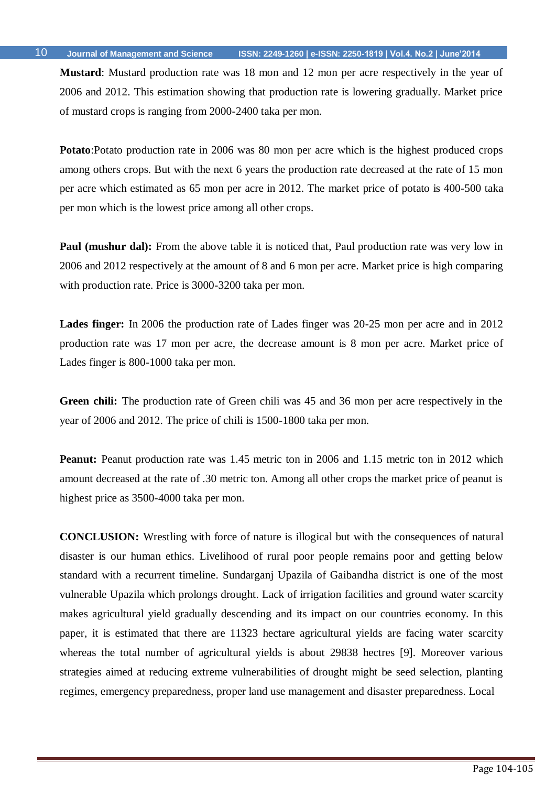**Mustard**: Mustard production rate was 18 mon and 12 mon per acre respectively in the year of 2006 and 2012. This estimation showing that production rate is lowering gradually. Market price of mustard crops is ranging from 2000-2400 taka per mon.

**Potato**:Potato production rate in 2006 was 80 mon per acre which is the highest produced crops among others crops. But with the next 6 years the production rate decreased at the rate of 15 mon per acre which estimated as 65 mon per acre in 2012. The market price of potato is 400-500 taka per mon which is the lowest price among all other crops.

**Paul (mushur dal):** From the above table it is noticed that, Paul production rate was very low in 2006 and 2012 respectively at the amount of 8 and 6 mon per acre. Market price is high comparing with production rate. Price is 3000-3200 taka per mon.

**Lades finger:** In 2006 the production rate of Lades finger was 20-25 mon per acre and in 2012 production rate was 17 mon per acre, the decrease amount is 8 mon per acre. Market price of Lades finger is 800-1000 taka per mon.

**Green chili:** The production rate of Green chili was 45 and 36 mon per acre respectively in the year of 2006 and 2012. The price of chili is 1500-1800 taka per mon.

**Peanut:** Peanut production rate was 1.45 metric ton in 2006 and 1.15 metric ton in 2012 which amount decreased at the rate of .30 metric ton. Among all other crops the market price of peanut is highest price as 3500-4000 taka per mon.

**CONCLUSION:** Wrestling with force of nature is illogical but with the consequences of natural disaster is our human ethics. Livelihood of rural poor people remains poor and getting below standard with a recurrent timeline. Sundarganj Upazila of Gaibandha district is one of the most vulnerable Upazila which prolongs drought. Lack of irrigation facilities and ground water scarcity makes agricultural yield gradually descending and its impact on our countries economy. In this paper, it is estimated that there are 11323 hectare agricultural yields are facing water scarcity whereas the total number of agricultural yields is about 29838 hectres [9]. Moreover various strategies aimed at reducing extreme vulnerabilities of drought might be seed selection, planting regimes, emergency preparedness, proper land use management and disaster preparedness. Local